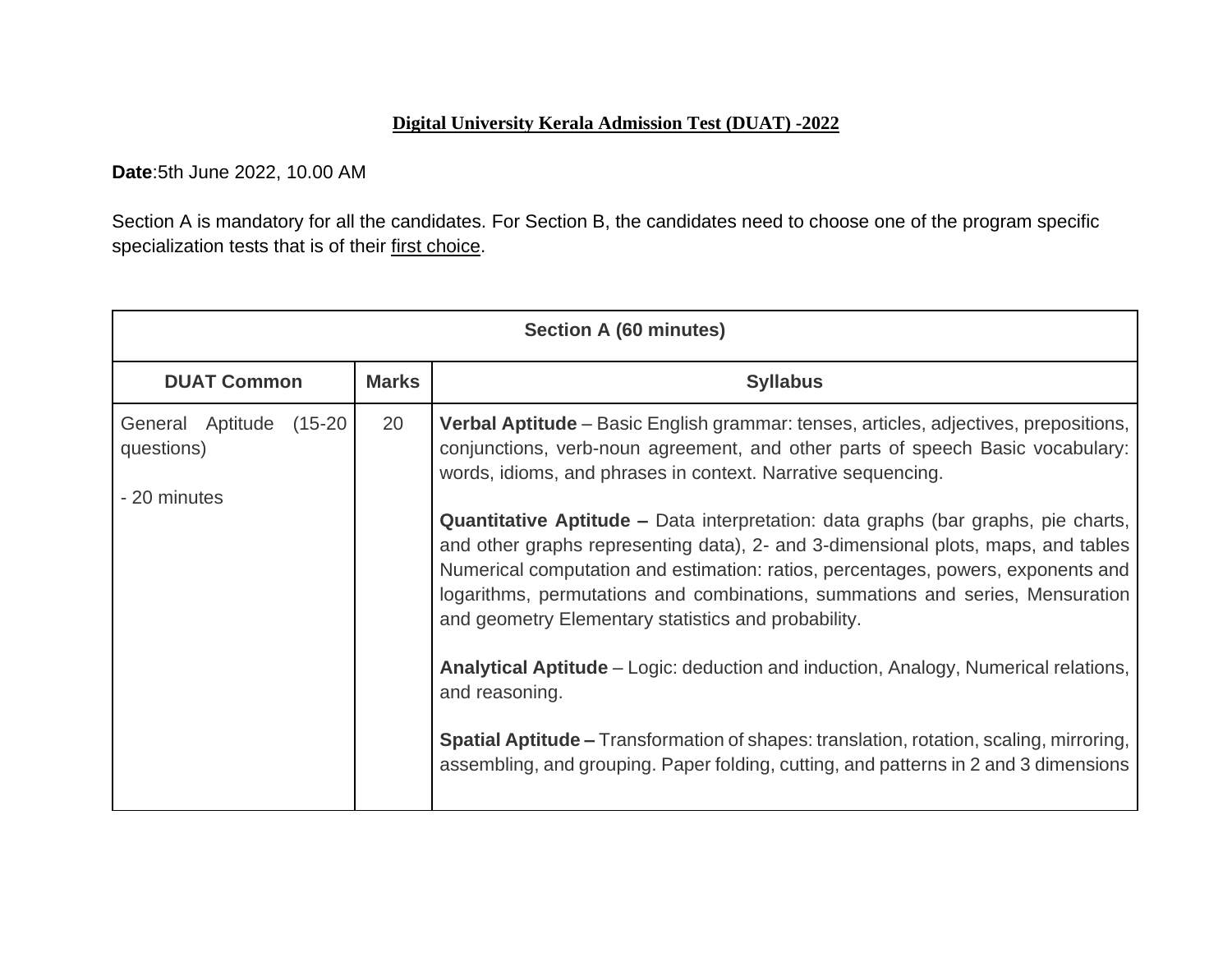## **Digital University Kerala Admission Test (DUAT) -2022**

**Date**:5th June 2022, 10.00 AM

Section A is mandatory for all the candidates. For Section B, the candidates need to choose one of the program specific specialization tests that is of their first choice.

| Section A (60 minutes)                                   |    |                                                                                                                                                                                                                                                                                                                                                                                                                                                                                                                                                                                                                                                                                                                                                                                                                                                                                                                                                        |  |
|----------------------------------------------------------|----|--------------------------------------------------------------------------------------------------------------------------------------------------------------------------------------------------------------------------------------------------------------------------------------------------------------------------------------------------------------------------------------------------------------------------------------------------------------------------------------------------------------------------------------------------------------------------------------------------------------------------------------------------------------------------------------------------------------------------------------------------------------------------------------------------------------------------------------------------------------------------------------------------------------------------------------------------------|--|
| <b>Marks</b><br><b>DUAT Common</b>                       |    | <b>Syllabus</b>                                                                                                                                                                                                                                                                                                                                                                                                                                                                                                                                                                                                                                                                                                                                                                                                                                                                                                                                        |  |
| General Aptitude<br>(15-20<br>questions)<br>- 20 minutes | 20 | <b>Verbal Aptitude</b> – Basic English grammar: tenses, articles, adjectives, prepositions,<br>conjunctions, verb-noun agreement, and other parts of speech Basic vocabulary:<br>words, idioms, and phrases in context. Narrative sequencing.<br>Quantitative Aptitude - Data interpretation: data graphs (bar graphs, pie charts,<br>and other graphs representing data), 2- and 3-dimensional plots, maps, and tables<br>Numerical computation and estimation: ratios, percentages, powers, exponents and<br>logarithms, permutations and combinations, summations and series, Mensuration<br>and geometry Elementary statistics and probability.<br>Analytical Aptitude – Logic: deduction and induction, Analogy, Numerical relations,<br>and reasoning.<br><b>Spatial Aptitude –</b> Transformation of shapes: translation, rotation, scaling, mirroring,<br>assembling, and grouping. Paper folding, cutting, and patterns in 2 and 3 dimensions |  |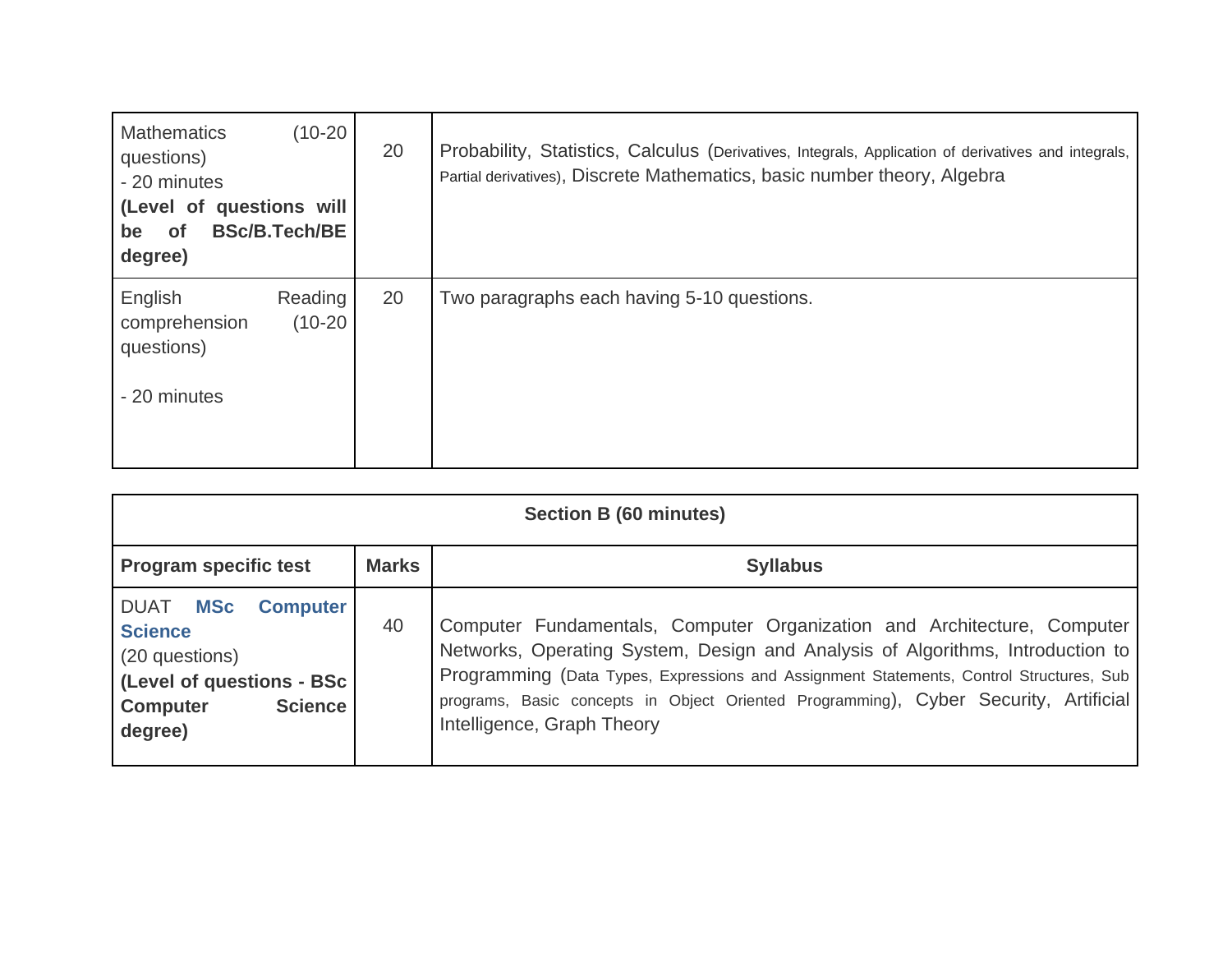| $(10-20)$<br><b>Mathematics</b><br>questions)<br>- 20 minutes<br>(Level of questions will<br><b>BSc/B.Tech/BE</b><br><b>of</b><br>be<br>degree) | 20 | Probability, Statistics, Calculus (Derivatives, Integrals, Application of derivatives and integrals,<br>Partial derivatives), Discrete Mathematics, basic number theory, Algebra |
|-------------------------------------------------------------------------------------------------------------------------------------------------|----|----------------------------------------------------------------------------------------------------------------------------------------------------------------------------------|
| English<br>Reading<br>$(10-20)$<br>comprehension<br>questions)<br>- 20 minutes                                                                  | 20 | Two paragraphs each having 5-10 questions.                                                                                                                                       |

| <b>Section B (60 minutes)</b>                                                                                                                          |    |                                                                                                                                                                                                                                                                                                                                                                            |  |
|--------------------------------------------------------------------------------------------------------------------------------------------------------|----|----------------------------------------------------------------------------------------------------------------------------------------------------------------------------------------------------------------------------------------------------------------------------------------------------------------------------------------------------------------------------|--|
| <b>Marks</b><br><b>Syllabus</b><br><b>Program specific test</b>                                                                                        |    |                                                                                                                                                                                                                                                                                                                                                                            |  |
| <b>MSc</b><br>DUAT<br><b>Computer</b><br><b>Science</b><br>(20 questions)<br>(Level of questions - BSc<br><b>Science</b><br><b>Computer</b><br>degree) | 40 | Computer Fundamentals, Computer Organization and Architecture, Computer<br>Networks, Operating System, Design and Analysis of Algorithms, Introduction to<br>Programming (Data Types, Expressions and Assignment Statements, Control Structures, Sub<br>programs, Basic concepts in Object Oriented Programming), Cyber Security, Artificial<br>Intelligence, Graph Theory |  |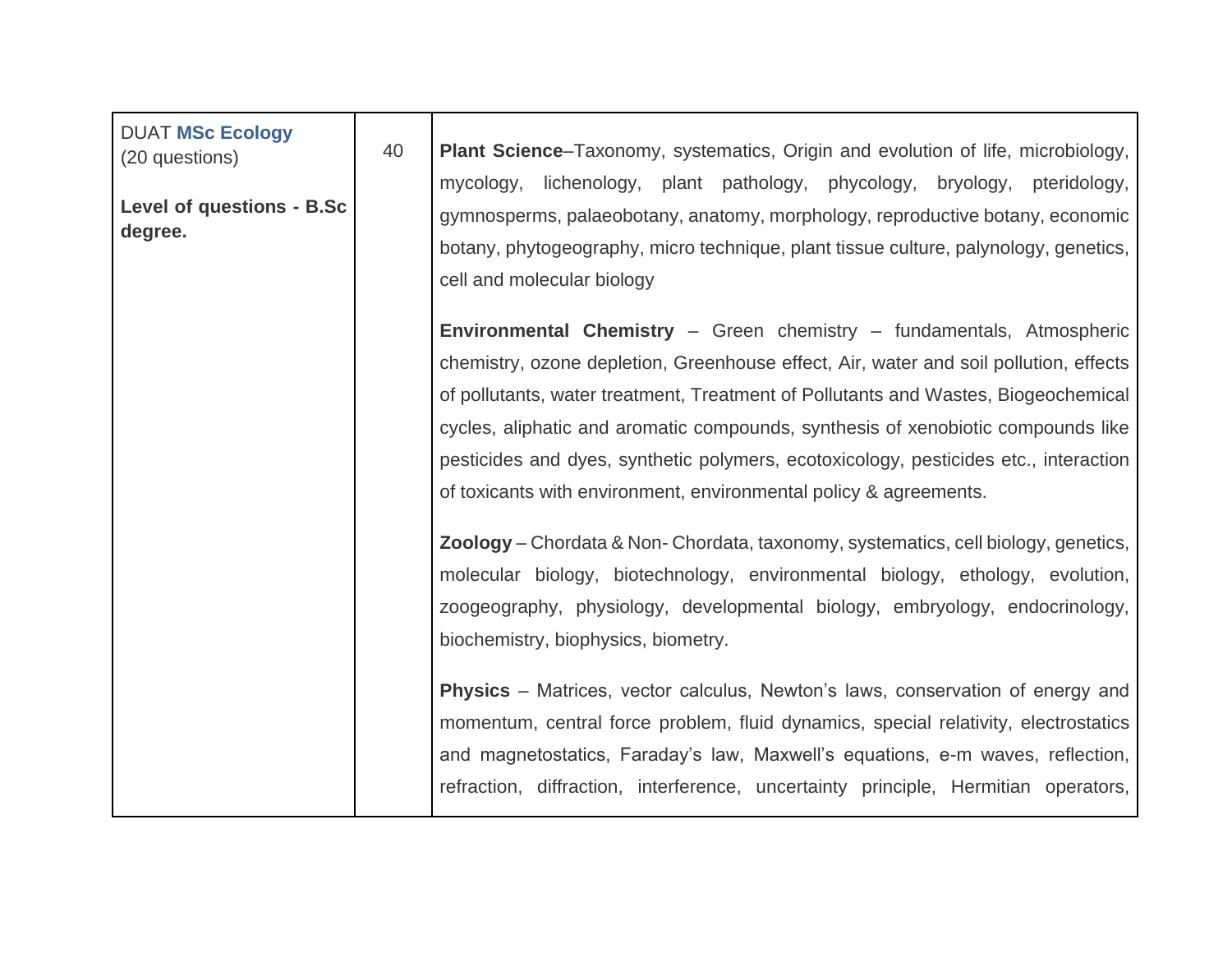| <b>DUAT MSc Ecology</b><br>(20 questions)<br><b>Level of questions - B.Sc</b><br>degree. | 40 | Plant Science-Taxonomy, systematics, Origin and evolution of life, microbiology,<br>mycology, lichenology, plant pathology, phycology, bryology, pteridology,<br>gymnosperms, palaeobotany, anatomy, morphology, reproductive botany, economic<br>botany, phytogeography, micro technique, plant tissue culture, palynology, genetics,<br>cell and molecular biology<br>Environmental Chemistry - Green chemistry - fundamentals, Atmospheric<br>chemistry, ozone depletion, Greenhouse effect, Air, water and soil pollution, effects<br>of pollutants, water treatment, Treatment of Pollutants and Wastes, Biogeochemical<br>cycles, aliphatic and aromatic compounds, synthesis of xenobiotic compounds like<br>pesticides and dyes, synthetic polymers, ecotoxicology, pesticides etc., interaction<br>of toxicants with environment, environmental policy & agreements.<br>Zoology - Chordata & Non- Chordata, taxonomy, systematics, cell biology, genetics,<br>molecular biology, biotechnology, environmental biology, ethology, evolution,<br>zoogeography, physiology, developmental biology, embryology, endocrinology,<br>biochemistry, biophysics, biometry.<br><b>Physics</b> – Matrices, vector calculus, Newton's laws, conservation of energy and<br>momentum, central force problem, fluid dynamics, special relativity, electrostatics<br>and magnetostatics, Faraday's law, Maxwell's equations, e-m waves, reflection,<br>refraction, diffraction, interference, uncertainty principle, Hermitian operators, |  |
|------------------------------------------------------------------------------------------|----|------------------------------------------------------------------------------------------------------------------------------------------------------------------------------------------------------------------------------------------------------------------------------------------------------------------------------------------------------------------------------------------------------------------------------------------------------------------------------------------------------------------------------------------------------------------------------------------------------------------------------------------------------------------------------------------------------------------------------------------------------------------------------------------------------------------------------------------------------------------------------------------------------------------------------------------------------------------------------------------------------------------------------------------------------------------------------------------------------------------------------------------------------------------------------------------------------------------------------------------------------------------------------------------------------------------------------------------------------------------------------------------------------------------------------------------------------------------------------------------------------------------------------------|--|
|                                                                                          |    |                                                                                                                                                                                                                                                                                                                                                                                                                                                                                                                                                                                                                                                                                                                                                                                                                                                                                                                                                                                                                                                                                                                                                                                                                                                                                                                                                                                                                                                                                                                                    |  |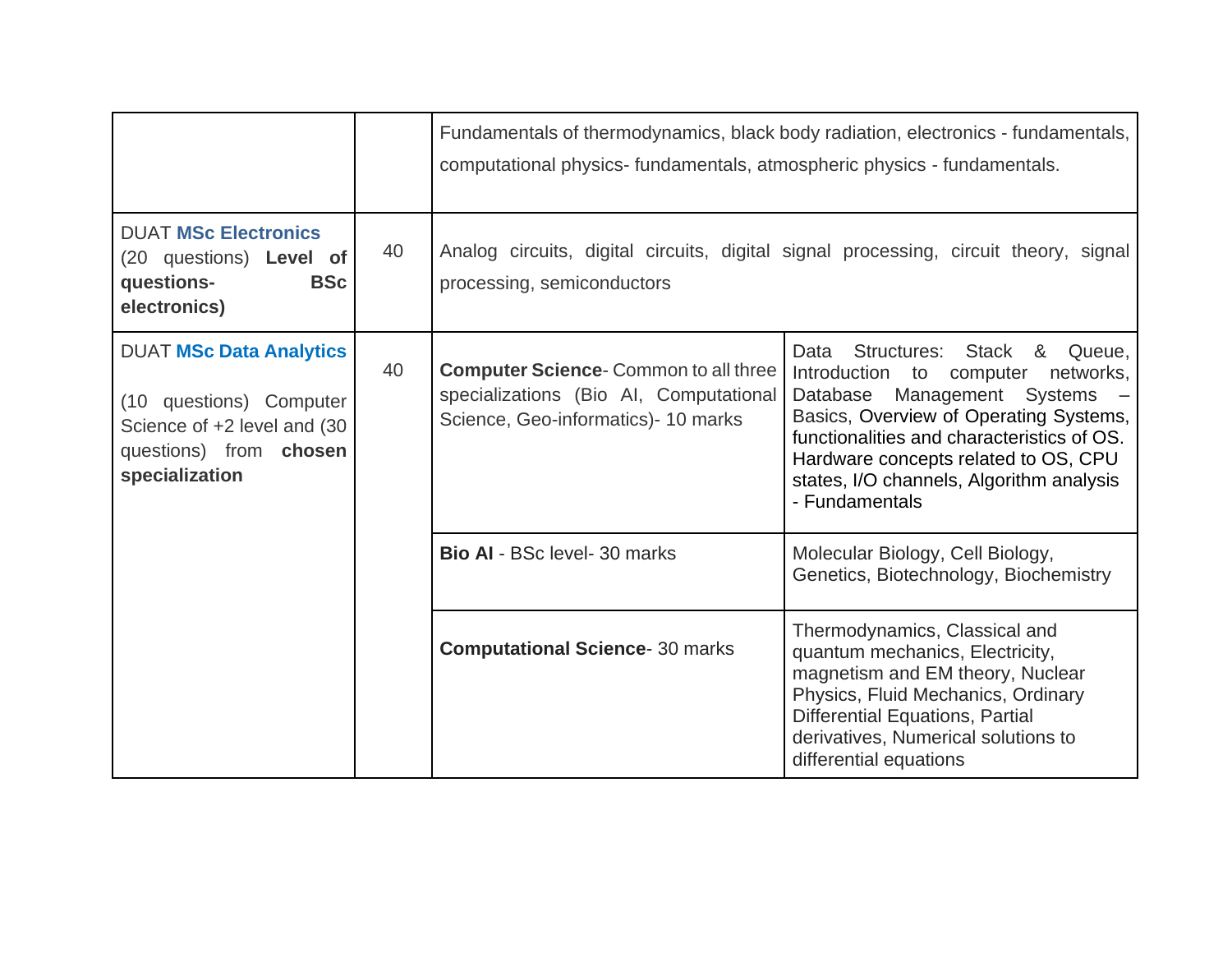|                                                                                                                                      |    | Fundamentals of thermodynamics, black body radiation, electronics - fundamentals,<br>computational physics-fundamentals, atmospheric physics - fundamentals. |                                                                                                                                                                                                                                                                                                             |  |
|--------------------------------------------------------------------------------------------------------------------------------------|----|--------------------------------------------------------------------------------------------------------------------------------------------------------------|-------------------------------------------------------------------------------------------------------------------------------------------------------------------------------------------------------------------------------------------------------------------------------------------------------------|--|
| <b>DUAT MSc Electronics</b><br>(20 questions) Level of<br><b>BSc</b><br>questions-<br>electronics)                                   | 40 | Analog circuits, digital circuits, digital signal processing, circuit theory, signal<br>processing, semiconductors                                           |                                                                                                                                                                                                                                                                                                             |  |
| <b>DUAT MSc Data Analytics</b><br>(10 questions) Computer<br>Science of +2 level and (30<br>questions) from chosen<br>specialization | 40 | <b>Computer Science-Common to all three</b><br>specializations (Bio AI, Computational<br>Science, Geo-informatics) - 10 marks                                | Data<br>Structures: Stack & Queue,<br>Introduction to computer<br>networks,<br>Management Systems<br>Database<br>Basics, Overview of Operating Systems,<br>functionalities and characteristics of OS.<br>Hardware concepts related to OS, CPU<br>states, I/O channels, Algorithm analysis<br>- Fundamentals |  |
|                                                                                                                                      |    | <b>Bio AI - BSc level- 30 marks</b>                                                                                                                          | Molecular Biology, Cell Biology,<br>Genetics, Biotechnology, Biochemistry                                                                                                                                                                                                                                   |  |
|                                                                                                                                      |    | <b>Computational Science- 30 marks</b>                                                                                                                       | Thermodynamics, Classical and<br>quantum mechanics, Electricity,<br>magnetism and EM theory, Nuclear<br>Physics, Fluid Mechanics, Ordinary<br><b>Differential Equations, Partial</b><br>derivatives, Numerical solutions to<br>differential equations                                                       |  |